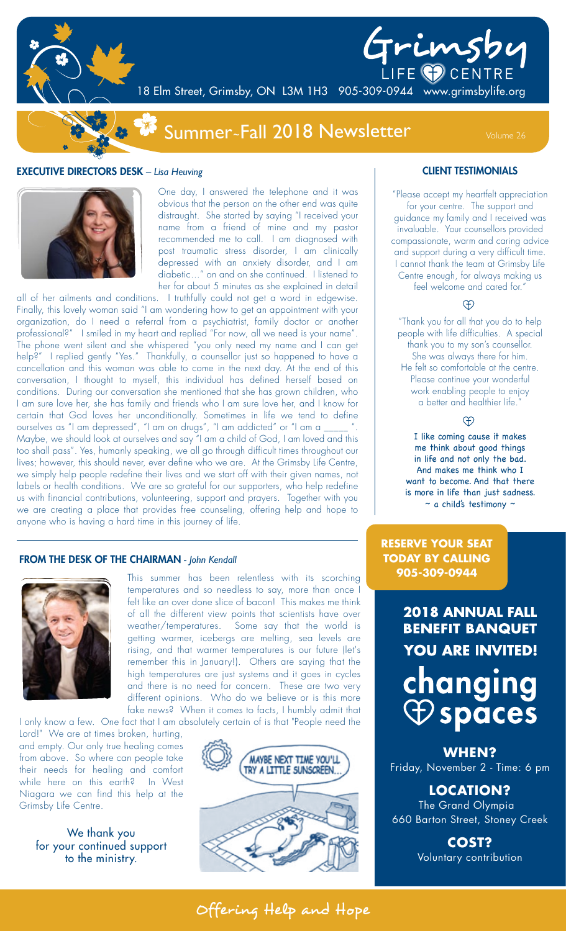

# Grimsby

18 Elm Street, Grimsby, ON L3M 1H3 905-309-0944 www.grimsbylife.org

# Summer~Fall 2018 Newsletter Volume 26

### EXECUTIVE DIRECTORS DESK *– Lisa Heuving*



One day, I answered the telephone and it was obvious that the person on the other end was quite distraught. She started by saying "I received your name from a friend of mine and my pastor recommended me to call. I am diagnosed with post traumatic stress disorder, I am clinically depressed with an anxiety disorder, and I am diabetic…" on and on she continued. I listened to her for about 5 minutes as she explained in detail

all of her ailments and conditions. I truthfully could not get a word in edgewise. Finally, this lovely woman said "I am wondering how to get an appointment with your organization, do I need a referral from a psychiatrist, family doctor or another professional?" I smiled in my heart and replied "For now, all we need is your name". The phone went silent and she whispered "you only need my name and I can get help?" I replied gently "Yes." Thankfully, a counsellor just so happened to have a cancellation and this woman was able to come in the next day. At the end of this conversation, I thought to myself, this individual has defined herself based on conditions. During our conversation she mentioned that she has grown children, who I am sure love her, she has family and friends who I am sure love her, and I know for certain that God loves her unconditionally. Sometimes in life we tend to define ourselves as "I am depressed", "I am on drugs", "I am addicted" or "I am a \_\_\_\_\_ Maybe, we should look at ourselves and say "I am a child of God, I am loved and this too shall pass". Yes, humanly speaking, we all go through difficult times throughout our lives; however, this should never, ever define who we are. At the Grimsby Life Centre, we simply help people redefine their lives and we start off with their given names, not labels or health conditions. We are so grateful for our supporters, who help redefine us with financial contributions, volunteering, support and prayers. Together with you we are creating a place that provides free counseling, offering help and hope to anyone who is having a hard time in this journey of life.

### FROM THE DESK OF THE CHAIRMAN *- John Kendall*



This summer has been relentless with its scorching temperatures and so needless to say, more than once I felt like an over done slice of bacon! This makes me think of all the different view points that scientists have over weather/temperatures. Some say that the world is getting warmer, icebergs are melting, sea levels are rising, and that warmer temperatures is our future (let's remember this in January!). Others are saying that the high temperatures are just systems and it goes in cycles and there is no need for concern. These are two very different opinions. Who do we believe or is this more fake news? When it comes to facts, I humbly admit that

I only know a few. One fact that I am absolutely certain of is that "People need the

Lord!" We are at times broken, hurting, and empty. Our only true healing comes from above. So where can people take their needs for healing and comfort while here on this earth? In West Niagara we can find this help at the Grimsby Life Centre.

We thank you for your continued support to the ministry.



### CLIENT TESTIMONIALS

"Please accept my heartfelt appreciation for your centre. The support and guidance my family and I received was invaluable. Your counsellors provided compassionate, warm and caring advice and support during a very difficult time. I cannot thank the team at Grimsby Life Centre enough, for always making us feel welcome and cared for."

### $\Theta$

"Thank you for all that you do to help people with life difficulties. A special thank you to my son's counsellor. She was always there for him. He felt so comfortable at the centre. Please continue your wonderful work enabling people to enjoy a better and healthier life."

### $\oplus$

I like coming cause it makes me think about good things in life and not only the bad. And makes me think who I want to become. And that there is more in life than just sadness.  $\sim$  a child's testimony  $\sim$ 

**RESERVE YOUR SEAT TODAY BY CALLING 905-309-0944**

> **2018 ANNUAL FALL BENEFIT BANQUET YOU ARE INVITED!** changing  $\bigoplus$  spaces

**WHEN?** Friday, November 2 - Time: 6 pm

**LOCATION?** The Grand Olympia 660 Barton Street, Stoney Creek

> **COST?** Voluntary contribution

Offering Help and Hope